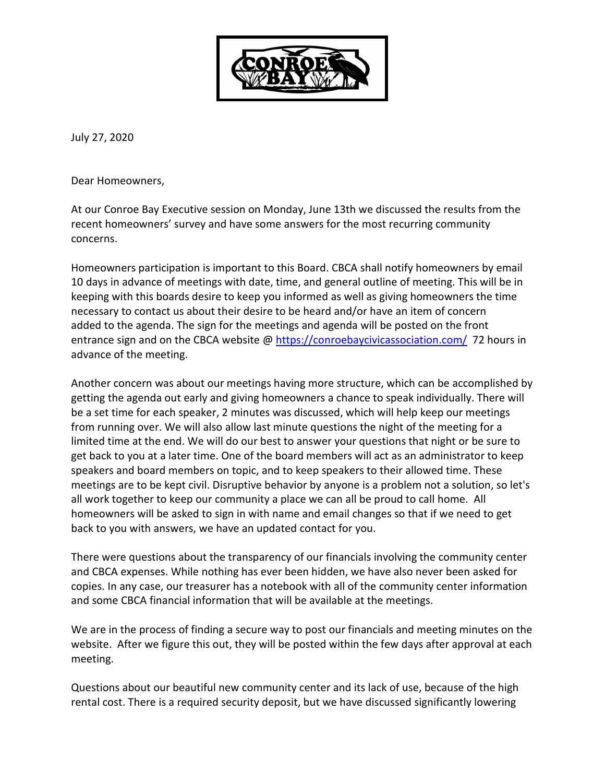

July 27, 2020

Dear Homeowners,

At our Conroe Bay Executive session on Monday, June 13th we discussed the results from the recent homeowners' survey and have some answers for the most recurring community concerns.

Homeowners participation is important to this Board. CBCA shall notify homeowners by email 10 days in advance of meetings with date, time, and general outline of meeting. This will be in keeping with this boards desire to keep you informed as well as giving homeowners the time necessary to contact us about their desire to be heard and/or have an item of concern added to the agenda. The sign for the meetings and agenda will be posted on the front entrance sign and on the CBCA website @ https://conroebaycivicassociation.com/ 72 hours in advance of the meeting.

Another concern was about our meetings having more structure, which can be accomplished by getting the agenda out early and giving homeowners a chance to speak individually. There will be a set time for each speaker, 2 minutes was discussed, which will help keep our meetings from running over. We will also allow last minute questions the night of the meeting for a limited time at the end. We will do our best to answer your questions that night or be sure to get back to you at a later time. One of the board members will act as an administrator to keep speakers and board members on topic, and to keep speakers to their allowed time. These meetings are to be kept civil. Disruptive behavior by anyone is a problem not a solution, so let's all work together to keep our community a place we can all be proud to call home. All homeowners will be asked to sign in with name and email changes so that if we need to get back to you with answers, we have an updated contact for you.

There were questions about the transparency of our financials involving the community center and CBCA expenses. While nothing has ever been hidden, we have also never been asked for copies. In any case, our treasurer has a notebook with all of the community center information and some CBCA financial information that will be available at the meetings.

We are in the process of finding a secure way to post our financials and meeting minutes on the website. After we figure this out, they will be posted within the few days after approval at each meeting.

Questions about our beautiful new community center and its lack of use, because of the high rental cost. There is a required security deposit, but we have discussed significantly lowering